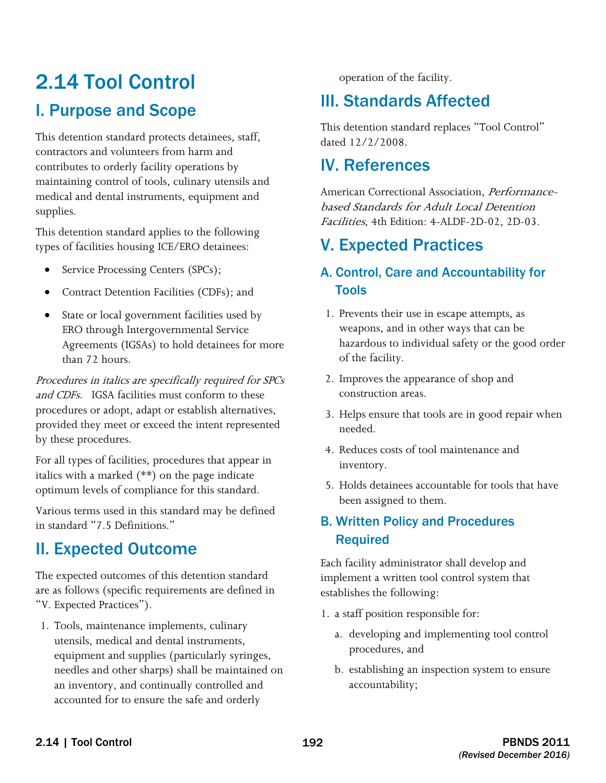# 2.14 Tool Control I. Purpose and Scope

This detention standard protects detainees, staff, contractors and volunteers from harm and contributes to orderly facility operations by maintaining control of tools, culinary utensils and medical and dental instruments, equipment and supplies.

This detention standard applies to the following types of facilities housing ICE/ERO detainees:

- Service Processing Centers (SPCs);
- Contract Detention Facilities (CDFs); and
- State or local government facilities used by ERO through Intergovernmental Service Agreements (IGSAs) to hold detainees for more than 72 hours.

and CDFs. IGSA facilities must conform to these Procedures in italics are specifically required for SPCs procedures or adopt, adapt or establish alternatives, provided they meet or exceed the intent represented by these procedures.

For all types of facilities, procedures that appear in italics with a marked (\*\*) on the page indicate optimum levels of compliance for this standard.

Various terms used in this standard may be defined in standard "7.5 Definitions."

# II. Expected Outcome

The expected outcomes of this detention standard are as follows (specific requirements are defined in "V. Expected Practices").

1. Tools, maintenance implements, culinary utensils, medical and dental instruments, equipment and supplies (particularly syringes, needles and other sharps) shall be maintained on an inventory, and continually controlled and accounted for to ensure the safe and orderly

operation of the facility.

# III. Standards Affected

This detention standard replaces "Tool Control" dated 12/2/2008.

# IV. References

American Correctional Association, *Performance*based Standards for Adult Local Detention Facilities, 4th Edition: 4-ALDF-2D-02, 2D-03.

# V. Expected Practices

### A. Control, Care and Accountability for Tools

- 1. Prevents their use in escape attempts, as weapons, and in other ways that can be hazardous to individual safety or the good order of the facility.
- 2. Improves the appearance of shop and construction areas.
- 3. Helps ensure that tools are in good repair when needed.
- 4. Reduces costs of tool maintenance and inventory.
- 5. Holds detainees accountable for tools that have been assigned to them.

## B. Written Policy and Procedures Required

Each facility administrator shall develop and implement a written tool control system that establishes the following:

- 1. a staff position responsible for:
	- a. developing and implementing tool control procedures, and
	- b. establishing an inspection system to ensure accountability;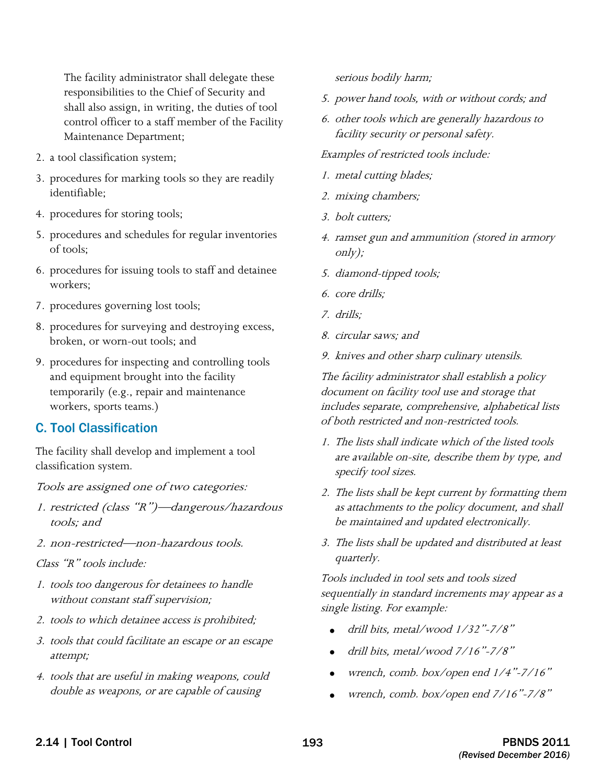The facility administrator shall delegate these responsibilities to the Chief of Security and shall also assign, in writing, the duties of tool control officer to a staff member of the Facility Maintenance Department;

- 2. a tool classification system;
- 3. procedures for marking tools so they are readily identifiable;
- 4. procedures for storing tools;
- 5. procedures and schedules for regular inventories of tools;
- 6. procedures for issuing tools to staff and detainee workers;
- 7. procedures governing lost tools;
- 8. procedures for surveying and destroying excess, broken, or worn-out tools; and
- 9. procedures for inspecting and controlling tools and equipment brought into the facility temporarily (e.g., repair and maintenance workers, sports teams.)

#### C. Tool Classification

The facility shall develop and implement a tool classification system.

Tools are assigned one of two categories:

- 1. restricted (class "R")—dangerous/hazardous tools; and
- 2. non-restricted—non-hazardous tools.

Class "R" tools include:

- 1. tools too dangerous for detainees to handle without constant staff supervision;
- 2. tools to which detainee access is prohibited;
- 3. tools that could facilitate an escape or an escape attempt;
- 4. tools that are useful in making weapons, could double as weapons, or are capable of causing

serious bodily harm;

- 5. power hand tools, with or without cords; and
- 6. other tools which are generally hazardous to facility security or personal safety.

Examples of restricted tools include:

- 1. metal cutting blades;
- 2. mixing chambers;
- 3. bolt cutters;
- 4. ramset gun and ammunition (stored in armory only);
- 5. diamond-tipped tools;
- 6. core drills;
- 7. drills;
- 8. circular saws; and
- 9. knives and other sharp culinary utensils.

The facility administrator shall establish a policy document on facility tool use and storage that includes separate, comprehensive, alphabetical lists of both restricted and non-restricted tools.

- 1. The lists shall indicate which of the listed tools are available on-site, describe them by type, and specify tool sizes.
- 2. The lists shall be kept current by formatting them as attachments to the policy document, and shall be maintained and updated electronically.
- 3. The lists shall be updated and distributed at least quarterly.

 sequentially in standard increments may appear as a Tools included in tool sets and tools sized single listing. For example:

- drill bits, metal/wood 1/32"-7/8"
- drill bits, metal/wood 7/16"-7/8"
- wrench, comb. box/open end 1/4"-7/16"
- wrench, comb. box/open end 7/16"-7/8"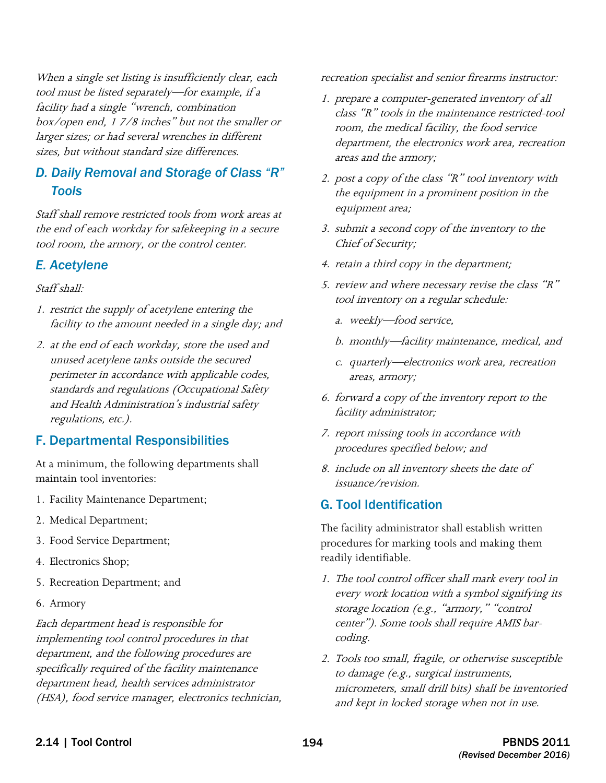When a single set listing is insufficiently clear, each tool must be listed separately—for example, if a facility had a single "wrench, combination box/open end, 1 7/8 inches" but not the smaller or larger sizes; or had several wrenches in different sizes, but without standard size differences.

### *D. Daily Removal and Storage of Class "R" Tools*

Staff shall remove restricted tools from work areas at the end of each workday for safekeeping in a secure tool room, the armory, or the control center.

#### *E. Acetylene*

Staff shall:

- 1. restrict the supply of acetylene entering the facility to the amount needed in a single day; and
- perimeter in accordance with applicable codes, 2. at the end of each workday, store the used and unused acetylene tanks outside the secured standards and regulations (Occupational Safety and Health Administration's industrial safety regulations, etc.).

#### F. Departmental Responsibilities

At a minimum, the following departments shall maintain tool inventories:

- 1. Facility Maintenance Department;
- 2. Medical Department;
- 3. Food Service Department;
- 4. Electronics Shop;
- 5. Recreation Department; and
- 6. Armory

Each department head is responsible for implementing tool control procedures in that department, and the following procedures are specifically required of the facility maintenance department head, health services administrator (HSA), food service manager, electronics technician, recreation specialist and senior firearms instructor:

- 1. prepare a computer-generated inventory of all class "R" tools in the maintenance restricted-tool room, the medical facility, the food service department, the electronics work area, recreation areas and the armory;
- 2. post a copy of the class "R" tool inventory with the equipment in a prominent position in the equipment area;
- 3. submit a second copy of the inventory to the Chief of Security;
- 4. retain a third copy in the department;
- 5. review and where necessary revise the class "R" tool inventory on a regular schedule:
	- a. weekly-food service,
	- b. monthly—facility maintenance, medical, and
	- c. quarterly—electronics work area, recreation areas, armory;
- 6. forward a copy of the inventory report to the facility administrator;
- 7. report missing tools in accordance with procedures specified below; and
- 8. include on all inventory sheets the date of issuance/revision.

## G. Tool Identification

The facility administrator shall establish written procedures for marking tools and making them readily identifiable.

- 1. The tool control officer shall mark every tool in every work location with a symbol signifying its storage location (e.g., "armory," "control center"). Some tools shall require AMIS barcoding.
- 2. Tools too small, fragile, or otherwise susceptible to damage (e.g., surgical instruments, micrometers, small drill bits) shall be inventoried and kept in locked storage when not in use.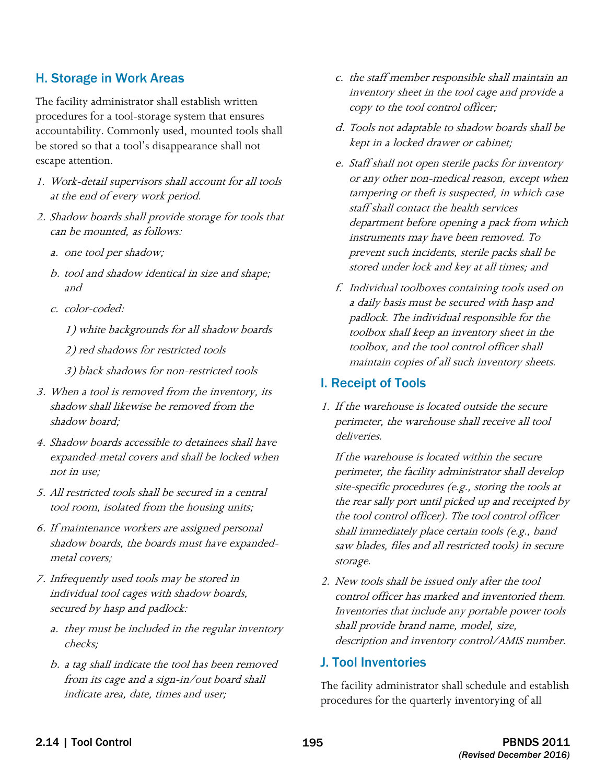#### H. Storage in Work Areas

The facility administrator shall establish written procedures for a tool-storage system that ensures accountability. Commonly used, mounted tools shall be stored so that a tool's disappearance shall not escape attention.

- 1. Work-detail supervisors shall account for all tools at the end of every work period.
- 2. Shadow boards shall provide storage for tools that can be mounted, as follows:
	- a. one tool per shadow;
	- b. tool and shadow identical in size and shape; and
	- c. color-coded:

1) white backgrounds for all shadow boards

2) red shadows for restricted tools

3) black shadows for non-restricted tools

- 3. When a tool is removed from the inventory, its shadow shall likewise be removed from the shadow board;
- 4. Shadow boards accessible to detainees shall have expanded-metal covers and shall be locked when not in use;
- 5. All restricted tools shall be secured in a central tool room, isolated from the housing units;
- 6. If maintenance workers are assigned personal shadow boards, the boards must have expandedmetal covers;
- 7. Infrequently used tools may be stored in individual tool cages with shadow boards, secured by hasp and padlock:
	- a. they must be included in the regular inventory checks;
	- b. a tag shall indicate the tool has been removed from its cage and a sign-in/out board shall indicate area, date, times and user;
- c. the staff member responsible shall maintain an inventory sheet in the tool cage and provide a copy to the tool control officer;
- d. Tools not adaptable to shadow boards shall be kept in a locked drawer or cabinet;
- e. Staff shall not open sterile packs for inventory or any other non-medical reason, except when tampering or theft is suspected, in which case staff shall contact the health services department before opening a pack from which instruments may have been removed. To prevent such incidents, sterile packs shall be stored under lock and key at all times; and
- f. Individual toolboxes containing tools used on a daily basis must be secured with hasp and padlock. The individual responsible for the toolbox shall keep an inventory sheet in the toolbox, and the tool control officer shall maintain copies of all such inventory sheets.

#### I. Receipt of Tools

1. If the warehouse is located outside the secure perimeter, the warehouse shall receive all tool deliveries.

 site-specific procedures (e.g., storing the tools at the rear sally port until picked up and receipted by shall immediately place certain tools (e.g., band If the warehouse is located within the secure perimeter, the facility administrator shall develop the tool control officer). The tool control officer saw blades, files and all restricted tools) in secure storage.

2. New tools shall be issued only after the tool control officer has marked and inventoried them. Inventories that include any portable power tools shall provide brand name, model, size, description and inventory control/AMIS number.

#### J. Tool Inventories

The facility administrator shall schedule and establish procedures for the quarterly inventorying of all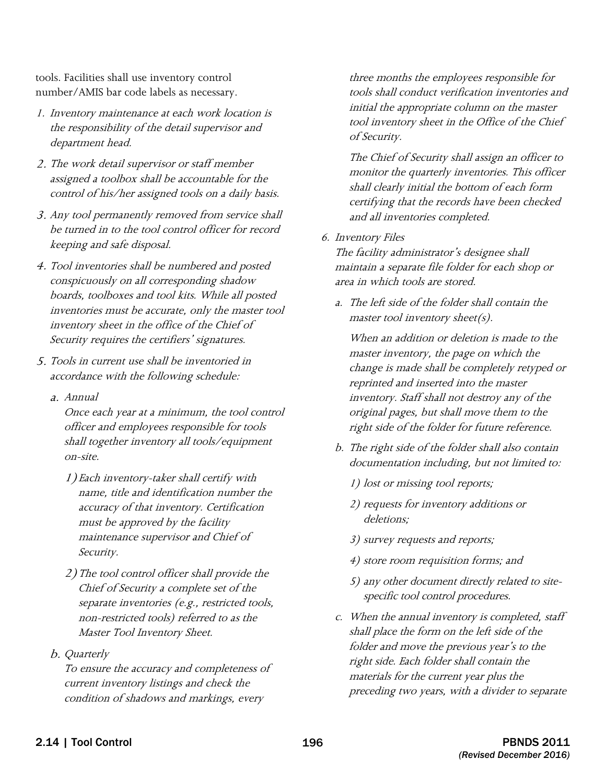tools. Facilities shall use inventory control number/AMIS bar code labels as necessary.

- 1. Inventory maintenance at each work location is the responsibility of the detail supervisor and department head.
- 2. The work detail supervisor or staff member assigned a toolbox shall be accountable for the control of his/her assigned tools on a daily basis.
- 3. Any tool permanently removed from service shall be turned in to the tool control officer for record keeping and safe disposal.
- 4. Tool inventories shall be numbered and posted conspicuously on all corresponding shadow boards, toolboxes and tool kits. While all posted inventories must be accurate, only the master tool inventory sheet in the office of the Chief of Security requires the certifiers' signatures.
- 5. Tools in current use shall be inventoried in accordance with the following schedule:
	- a. Annual

Once each year at a minimum, the tool control officer and employees responsible for tools shall together inventory all tools/equipment on-site.

- 1)Each inventory-taker shall certify with name, title and identification number the accuracy of that inventory. Certification must be approved by the facility maintenance supervisor and Chief of Security.
- 2)The tool control officer shall provide the Chief of Security a complete set of the separate inventories (e.g., restricted tools, non-restricted tools) referred to as the Master Tool Inventory Sheet.

#### b. Quarterly

To ensure the accuracy and completeness of current inventory listings and check the condition of shadows and markings, every

three months the employees responsible for tools shall conduct verification inventories and initial the appropriate column on the master tool inventory sheet in the Office of the Chief of Security.

The Chief of Security shall assign an officer to monitor the quarterly inventories. This officer shall clearly initial the bottom of each form certifying that the records have been checked and all inventories completed.

6. Inventory Files

The facility administrator's designee shall maintain a separate file folder for each shop or area in which tools are stored.

a. The left side of the folder shall contain the master tool inventory sheet(s).

When an addition or deletion is made to the master inventory, the page on which the change is made shall be completely retyped or reprinted and inserted into the master inventory. Staff shall not destroy any of the original pages, but shall move them to the right side of the folder for future reference.

- b. The right side of the folder shall also contain documentation including, but not limited to:
	- 1) lost or missing tool reports;
	- 2) requests for inventory additions or deletions;
	- 3) survey requests and reports;
	- 4) store room requisition forms; and
	- 5) any other document directly related to sitespecific tool control procedures.
- shall place the form on the left side of the folder and move the previous year's to the materials for the current year plus the c. When the annual inventory is completed, staff right side. Each folder shall contain the preceding two years, with a divider to separate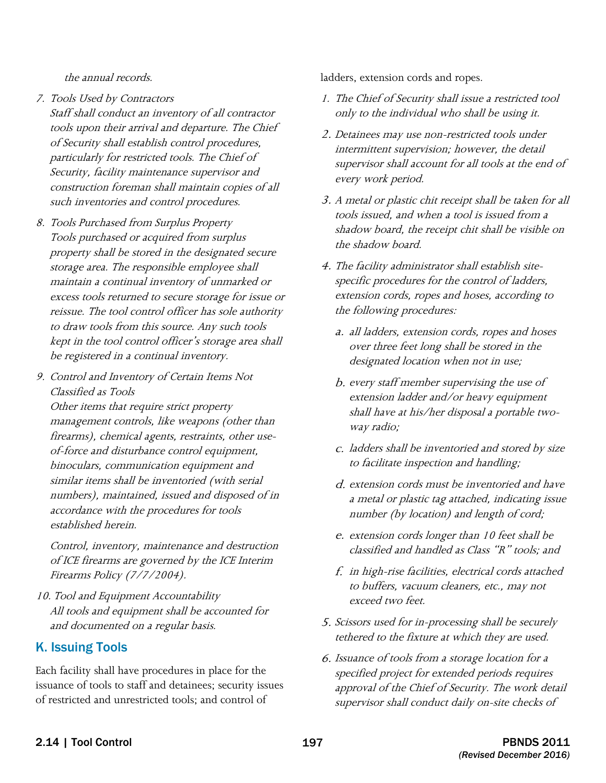the annual records.

- tools upon their arrival and departure. The Chief 7. Tools Used by Contractors Staff shall conduct an inventory of all contractor of Security shall establish control procedures, particularly for restricted tools. The Chief of Security, facility maintenance supervisor and construction foreman shall maintain copies of all such inventories and control procedures.
- 8. Tools Purchased from Surplus Property Tools purchased or acquired from surplus property shall be stored in the designated secure storage area. The responsible employee shall maintain a continual inventory of unmarked or excess tools returned to secure storage for issue or reissue. The tool control officer has sole authority to draw tools from this source. Any such tools kept in the tool control officer's storage area shall be registered in a continual inventory.
- 9. Control and Inventory of Certain Items Not Classified as Tools

Other items that require strict property management controls, like weapons (other than firearms), chemical agents, restraints, other useof-force and disturbance control equipment, binoculars, communication equipment and similar items shall be inventoried (with serial numbers), maintained, issued and disposed of in accordance with the procedures for tools established herein.

Control, inventory, maintenance and destruction of ICE firearms are governed by the ICE Interim Firearms Policy (7/7/2004).

10. Tool and Equipment Accountability All tools and equipment shall be accounted for and documented on a regular basis.

#### K. Issuing Tools

 issuance of tools to staff and detainees; security issues of restricted and unrestricted tools; and control of Each facility shall have procedures in place for the

ladders, extension cords and ropes.

- 1. The Chief of Security shall issue a restricted tool only to the individual who shall be using it.
- 2. Detainees may use non-restricted tools under intermittent supervision; however, the detail supervisor shall account for all tools at the end of every work period.
- 3. A metal or plastic chit receipt shall be taken for all tools issued, and when a tool is issued from a shadow board, the receipt chit shall be visible on the shadow board.
- 4. The facility administrator shall establish sitespecific procedures for the control of ladders, extension cords, ropes and hoses, according to the following procedures:
	- a. all ladders, extension cords, ropes and hoses over three feet long shall be stored in the designated location when not in use;
	- b. every staff member supervising the use of extension ladder and/or heavy equipment shall have at his/her disposal a portable twoway radio;
	- c. ladders shall be inventoried and stored by size to facilitate inspection and handling;
	- d. extension cords must be inventoried and have a metal or plastic tag attached, indicating issue number (by location) and length of cord;
	- e. extension cords longer than 10 feet shall be classified and handled as Class "R" tools; and
	- f. in high-rise facilities, electrical cords attached to buffers, vacuum cleaners, etc., may not exceed two feet.
- 5. Scissors used for in-processing shall be securely tethered to the fixture at which they are used.
- 6. Issuance of tools from a storage location for a specified project for extended periods requires approval of the Chief of Security. The work detail supervisor shall conduct daily on-site checks of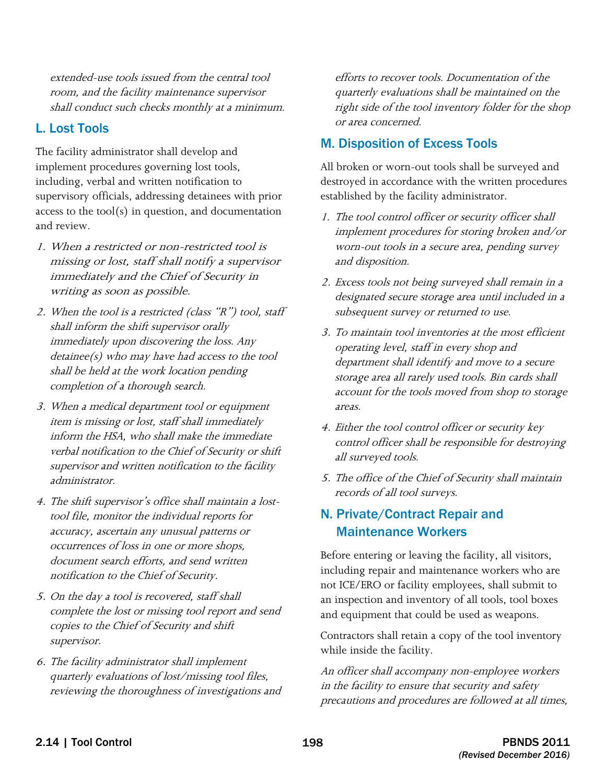extended-use tools issued from the central tool room, and the facility maintenance supervisor shall conduct such checks monthly at a minimum.

### L. Lost Tools

The facility administrator shall develop and implement procedures governing lost tools, including, verbal and written notification to supervisory officials, addressing detainees with prior access to the tool $(s)$  in question, and documentation and review.

- missing or lost, staff shall notify a supervisor 1. When a restricted or non-restricted tool is immediately and the Chief of Security in writing as soon as possible.
- 2. When the tool is a restricted (class "R") tool, staff shall inform the shift supervisor orally immediately upon discovering the loss. Any detainee(s) who may have had access to the tool shall be held at the work location pending completion of a thorough search.
- item is missing or lost, staff shall immediately supervisor and written notification to the facility 3. When a medical department tool or equipment inform the HSA, who shall make the immediate verbal notification to the Chief of Security or shift administrator.
- 4. The shift supervisor's office shall maintain a losttool file, monitor the individual reports for accuracy, ascertain any unusual patterns or occurrences of loss in one or more shops, document search efforts, and send written notification to the Chief of Security.
- 5. On the day a tool is recovered, staff shall complete the lost or missing tool report and send copies to the Chief of Security and shift supervisor.
- 6. The facility administrator shall implement quarterly evaluations of lost/missing tool files, reviewing the thoroughness of investigations and

 right side of the tool inventory folder for the shop efforts to recover tools. Documentation of the quarterly evaluations shall be maintained on the or area concerned.

## M. Disposition of Excess Tools

All broken or worn-out tools shall be surveyed and destroyed in accordance with the written procedures established by the facility administrator.

- 1. The tool control officer or security officer shall implement procedures for storing broken and/or worn-out tools in a secure area, pending survey and disposition.
- 2. Excess tools not being surveyed shall remain in a designated secure storage area until included in a subsequent survey or returned to use.
- 3. To maintain tool inventories at the most efficient operating level, staff in every shop and department shall identify and move to a secure storage area all rarely used tools. Bin cards shall account for the tools moved from shop to storage areas.
- 4. Either the tool control officer or security key control officer shall be responsible for destroying all surveyed tools.
- 5. The office of the Chief of Security shall maintain records of all tool surveys.

# N. Private/Contract Repair and Maintenance Workers

Before entering or leaving the facility, all visitors, including repair and maintenance workers who are not ICE/ERO or facility employees, shall submit to an inspection and inventory of all tools, tool boxes and equipment that could be used as weapons.

Contractors shall retain a copy of the tool inventory while inside the facility.

An officer shall accompany non-employee workers in the facility to ensure that security and safety precautions and procedures are followed at all times,